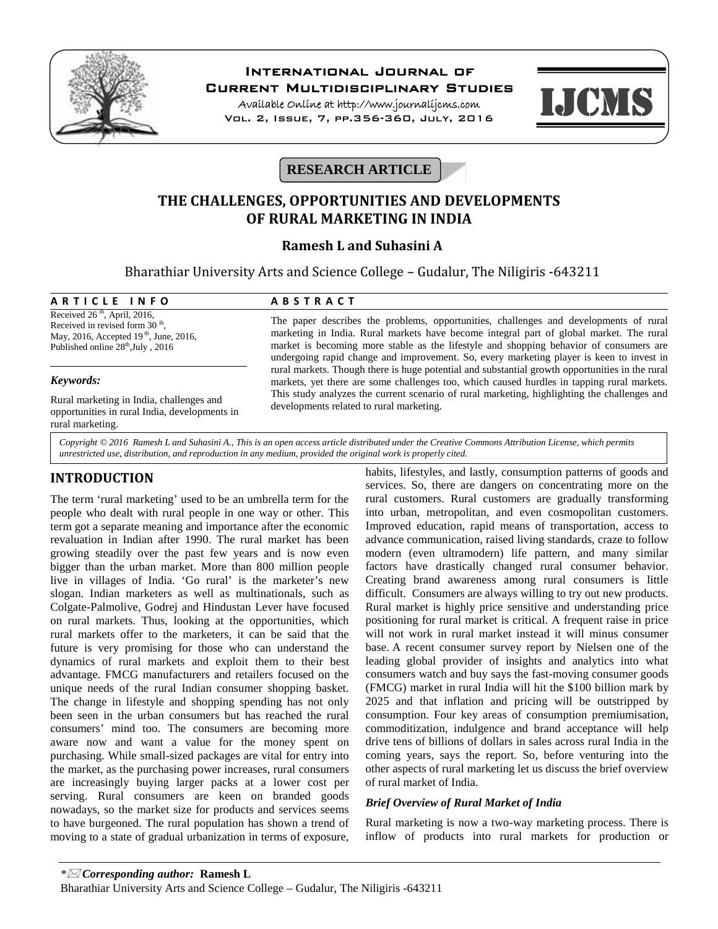

# **International Journal of**

**Current Multidisciplinary Studies**

**Available Online at http://www.journalijcms.com** Vol. 2, Issue, 7, pp.356-360, July, 2016



# **RESEARCH ARTICLE**

# **THE CHALLENGES, OPPORTUNITIES AND DEVELOPMENTS OF RURAL MARKETING IN INDIA**

## **Ramesh L and Suhasini A**

Bharathiar University Arts and Science College – Gudalur, The Niligiris -643211 **A R T I C L E I N F O**<br> **A R T I C L E I N F O**<br> **A B S T R A C T**<br> **A B S T R A C T**<br> **A B S T R A C T**<br> **A B S T R A C T**<br> **A B S T R A C T**<br> **Received 26<sup>th</sup>, April, 2016,<br>
<b>Received in revised form 30<sup>th</sup>** 

Received  $26<sup>th</sup>$ , April, 2016, Received in revised form  $30<sup>th</sup>$ , May, 2016, Accepted 19<sup>th</sup>, June, 2016, Published online  $28<sup>th</sup>$ , July, 2016

### *Keywords:*

Rural marketing in India, challenges and opportunities in rural India, developments in rural marketing.

The paper describes the problems, opportunities, challenges and developments of rural marketing in India. Rural markets have become integral part of global market. The rural market is becoming more stable as the lifestyle and shopping behavior of consumers are undergoing rapid change and improvement. So, every marketing player is keen to invest in rural markets. Though there is huge potential and substantial growth opportunities in the rural markets, yet there are some challenges too, which caused hurdles in tapping rural markets. This study analyzes the current scenario of rural marketing, highlighting the challenges and developments related to rural marketing.

*Copyright © 2016 Ramesh L and Suhasini A., This is an open access article distributed under the Creative Commons Attribution License, which permits unrestricted use, distribution, and reproduction in any medium, provided the original work is properly cited.*

# **INTRODUCTION**

The term 'rural marketing' used to be an umbrella term for the people who dealt with rural people in one way or other. This term got a separate meaning and importance after the economic revaluation in Indian after 1990. The rural market has been growing steadily over the past few years and is now even bigger than the urban market. More than 800 million people live in villages of India. 'Go rural' is the marketer's new slogan. Indian marketers as well as multinationals, such as Colgate-Palmolive, Godrej and Hindustan Lever have focused on rural markets. Thus, looking at the opportunities, which rural markets offer to the marketers, it can be said that the future is very promising for those who can understand the dynamics of rural markets and exploit them to their best advantage. FMCG manufacturers and retailers focused on the unique needs of the rural Indian consumer shopping basket. The change in lifestyle and shopping spending has not only been seen in the urban consumers but has reached the rural consumers' mind too. The consumers are becoming more aware now and want a value for the money spent on purchasing. While small-sized packages are vital for entry into the market, as the purchasing power increases, rural consumers are increasingly buying larger packs at a lower cost per serving. Rural consumers are keen on branded goods nowadays, so the market size for products and services seems to have burgeoned. The rural population has shown a trend of moving to a state of gradual urbanization in terms of exposure,

habits, lifestyles, and lastly, consumption patterns of goods and services. So, there are dangers on concentrating more on the rural customers. Rural customers are gradually transforming into urban, metropolitan, and even cosmopolitan customers. Improved education, rapid means of transportation, access to advance communication, raised living standards, craze to follow modern (even ultramodern) life pattern, and many similar factors have drastically changed rural consumer behavior. Creating brand awareness among rural consumers is little difficult. Consumers are always willing to try out new products. Rural market is highly price sensitive and understanding price positioning for rural market is critical. A frequent raise in price will not work in rural market instead it will minus consumer base. A recent consumer survey report by Nielsen one of the leading global provider of insights and analytics into what consumers watch and buy says the fast-moving consumer goods (FMCG) market in rural India will hit the \$100 billion mark by 2025 and that inflation and pricing will be outstripped by consumption. Four key areas of consumption premiumisation, commoditization, indulgence and brand acceptance will help drive tens of billions of dollars in sales across rural India in the coming years, says the report. So, before venturing into the other aspects of rural marketing let us discuss the brief overview of rural market of India.

## *Brief Overview of Rural Market of India*

Rural marketing is now a two-way marketing process. There is inflow of products into rural markets for production or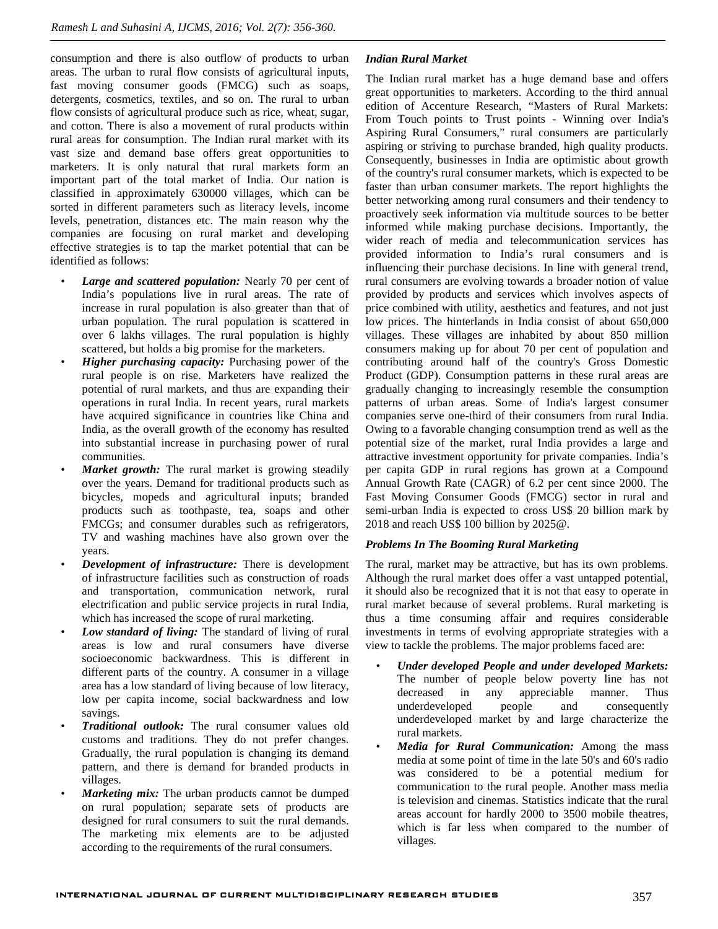consumption and there is also outflow of products to urban areas. The urban to rural flow consists of agricultural inputs, fast moving consumer goods (FMCG) such as soaps, detergents, cosmetics, textiles, and so on. The rural to urban flow consists of agricultural produce such as rice, wheat, sugar, and cotton. There is also a movement of rural products within rural areas for consumption. The Indian rural market with its vast size and demand base offers great opportunities to marketers. It is only natural that rural markets form an important part of the total market of India. Our nation is classified in approximately 630000 villages, which can be sorted in different parameters such as literacy levels, income levels, penetration, distances etc. The main reason why the companies are focusing on rural market and developing effective strategies is to tap the market potential that can be identified as follows:

- *Large and scattered population:* Nearly 70 per cent of India's populations live in rural areas. The rate of increase in rural population is also greater than that of urban population. The rural population is scattered in over 6 lakhs villages. The rural population is highly scattered, but holds a big promise for the marketers.
- *Higher purchasing capacity:* Purchasing power of the rural people is on rise. Marketers have realized the potential of rural markets, and thus are expanding their operations in rural India. In recent years, rural markets have acquired significance in countries like China and India, as the overall growth of the economy has resulted into substantial increase in purchasing power of rural communities.
- Market growth: The rural market is growing steadily over the years. Demand for traditional products such as bicycles, mopeds and agricultural inputs; branded products such as toothpaste, tea, soaps and other FMCGs; and consumer durables such as refrigerators, TV and washing machines have also grown over the years.
- *Development of infrastructure:* There is development of infrastructure facilities such as construction of roads and transportation, communication network, rural electrification and public service projects in rural India, which has increased the scope of rural marketing.
- Low standard of living: The standard of living of rural areas is low and rural consumers have diverse socioeconomic backwardness. This is different in different parts of the country. A consumer in a village area has a low standard of living because of low literacy, decreased in<br>low per capita income, social backwardness and low the underdeveloped savings.
- *Traditional outlook:* The rural consumer values old customs and traditions. They do not prefer changes. Gradually, the rural population is changing its demand pattern, and there is demand for branded products in villages.
- Marketing mix: The urban products cannot be dumped on rural population; separate sets of products are designed for rural consumers to suit the rural demands. The marketing mix elements are to be adjusted according to the requirements of the rural consumers.

## *Indian Rural Market*

The Indian rural market has a huge demand base and offers great opportunities to marketers. According to the third annual edition of Accenture Research, "Masters of Rural Markets: From Touch points to Trust points - Winning over India's Aspiring Rural Consumers," rural consumers are particularly aspiring or striving to purchase branded, high quality products. Consequently, businesses in India are optimistic about growth of the country's rural consumer markets, which is expected to be faster than urban consumer markets. The report highlights the better networking among rural consumers and their tendency to proactively seek information via multitude sources to be better informed while making purchase decisions. Importantly, the wider reach of media and telecommunication services has provided information to India's rural consumers and is influencing their purchase decisions. In line with general trend, rural consumers are evolving towards a broader notion of value provided by products and services which involves aspects of price combined with utility, aesthetics and features, and not just low prices. The hinterlands in India consist of about 650,000 villages. These villages are inhabited by about 850 million consumers making up for about 70 per cent of population and contributing around half of the country's Gross Domestic Product (GDP). Consumption patterns in these rural areas are gradually changing to increasingly resemble the consumption patterns of urban areas. Some of India's largest consumer companies serve one-third of their consumers from rural India. Owing to a favorable changing consumption trend as well as the potential size of the market, rural India provides a large and attractive investment opportunity for private companies. India's per capita GDP in rural regions has grown at a Compound Annual Growth Rate (CAGR) of 6.2 per cent since 2000. The Fast Moving Consumer Goods (FMCG) sector in rural and semi-urban India is expected to cross US\$ 20 billion mark by 2018 and reach US\$ 100 billion by 2025@.

### *Problems In The Booming Rural Marketing*

The rural, market may be attractive, but has its own problems. Although the rural market does offer a vast untapped potential, it should also be recognized that it is not that easy to operate in rural market because of several problems. Rural marketing is thus a time consuming affair and requires considerable investments in terms of evolving appropriate strategies with a view to tackle the problems. The major problems faced are:

- *Under developed People and under developed Markets:* The number of people below poverty line has not any appreciable manner. Thus people and consequently underdeveloped market by and large characterize the rural markets.
- *Media for Rural Communication:* Among the mass media at some point of time in the late 50's and 60's radio was considered to be a potential medium for communication to the rural people. Another mass media is television and cinemas. Statistics indicate that the rural areas account for hardly 2000 to 3500 mobile theatres, which is far less when compared to the number of villages.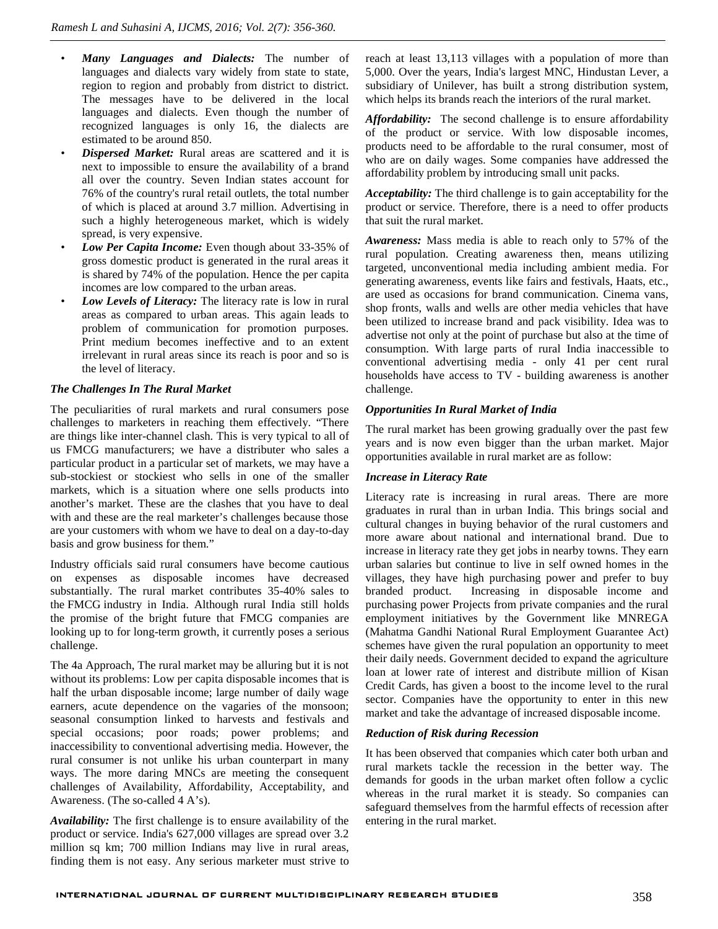- *Many Languages and Dialects:* The number of languages and dialects vary widely from state to state, region to region and probably from district to district. The messages have to be delivered in the local languages and dialects. Even though the number of recognized languages is only 16, the dialects are estimated to be around 850.
- *Dispersed Market:* Rural areas are scattered and it is next to impossible to ensure the availability of a brand all over the country. Seven Indian states account for 76% of the country's rural retail outlets, the total number of which is placed at around 3.7 million. Advertising in such a highly heterogeneous market, which is widely spread, is very expensive.
- *Low Per Capita Income:* Even though about 33-35% of gross domestic product is generated in the rural areas it is shared by 74% of the population. Hence the per capita incomes are low compared to the urban areas.
- Low Levels of Literacy: The literacy rate is low in rural areas as compared to urban areas. This again leads to problem of communication for promotion purposes. Print medium becomes ineffective and to an extent irrelevant in rural areas since its reach is poor and so is the level of literacy.

### *The Challenges In The Rural Market*

The peculiarities of rural markets and rural consumers pose challenges to marketers in reaching them effectively. "There are things like inter-channel clash. This is very typical to all of us FMCG manufacturers; we have a distributer who sales a particular product in a particular set of markets, we may have a sub-stockiest or stockiest who sells in one of the smaller markets, which is a situation where one sells products into another's market. These are the clashes that you have to deal with and these are the real marketer's challenges because those are your customers with whom we have to deal on a day-to-day basis and grow business for them."

Industry officials said rural consumers have become cautious on expenses as disposable incomes have decreased substantially. The rural market contributes 35-40% sales to branded product. the FMCG industry in India. Although rural India still holds the promise of the bright future that FMCG companies are looking up to for long-term growth, it currently poses a serious challenge.

The 4a Approach, The rural market may be alluring but it is not without its problems: Low per capita disposable incomes that is half the urban disposable income; large number of daily wage earners, acute dependence on the vagaries of the monsoon; seasonal consumption linked to harvests and festivals and special occasions; poor roads; power problems; and inaccessibility to conventional advertising media. However, the rural consumer is not unlike his urban counterpart in many ways. The more daring MNCs are meeting the consequent challenges of Availability, Affordability, Acceptability, and Awareness. (The so-called 4 A's).

*Availability:* The first challenge is to ensure availability of the product or service. India's 627,000 villages are spread over 3.2 million sq km; 700 million Indians may live in rural areas, finding them is not easy. Any serious marketer must strive to reach at least 13,113 villages with a population of more than 5,000. Over the years, India's largest MNC, Hindustan Lever, a subsidiary of Unilever, has built a strong distribution system, which helps its brands reach the interiors of the rural market.

*Affordability:* The second challenge is to ensure affordability of the product or service. With low disposable incomes, products need to be affordable to the rural consumer, most of who are on daily wages. Some companies have addressed the affordability problem by introducing small unit packs.

*Acceptability:* The third challenge is to gain acceptability for the product or service. Therefore, there is a need to offer products that suit the rural market.

*Awareness:* Mass media is able to reach only to 57% of the rural population. Creating awareness then, means utilizing targeted, unconventional media including ambient media. For generating awareness, events like fairs and festivals, Haats, etc., are used as occasions for brand communication. Cinema vans, shop fronts, walls and wells are other media vehicles that have been utilized to increase brand and pack visibility. Idea was to advertise not only at the point of purchase but also at the time of consumption. With large parts of rural India inaccessible to conventional advertising media - only 41 per cent rural households have access to TV - building awareness is another challenge.

#### *Opportunities In Rural Market of India*

The rural market has been growing gradually over the past few years and is now even bigger than the urban market. Major opportunities available in rural market are as follow:

#### *Increase in Literacy Rate*

Literacy rate is increasing in rural areas. There are more graduates in rural than in urban India. This brings social and cultural changes in buying behavior of the rural customers and more aware about national and international brand. Due to increase in literacy rate they get jobs in nearby towns. They earn urban salaries but continue to live in self owned homes in the villages, they have high purchasing power and prefer to buy Increasing in disposable income and purchasing power Projects from private companies and the rural employment initiatives by the Government like MNREGA (Mahatma Gandhi National Rural Employment Guarantee Act) schemes have given the rural population an opportunity to meet their daily needs. Government decided to expand the agriculture loan at lower rate of interest and distribute million of Kisan Credit Cards, has given a boost to the income level to the rural sector. Companies have the opportunity to enter in this new market and take the advantage of increased disposable income.

#### *Reduction of Risk during Recession*

It has been observed that companies which cater both urban and rural markets tackle the recession in the better way. The demands for goods in the urban market often follow a cyclic whereas in the rural market it is steady. So companies can safeguard themselves from the harmful effects of recession after entering in the rural market.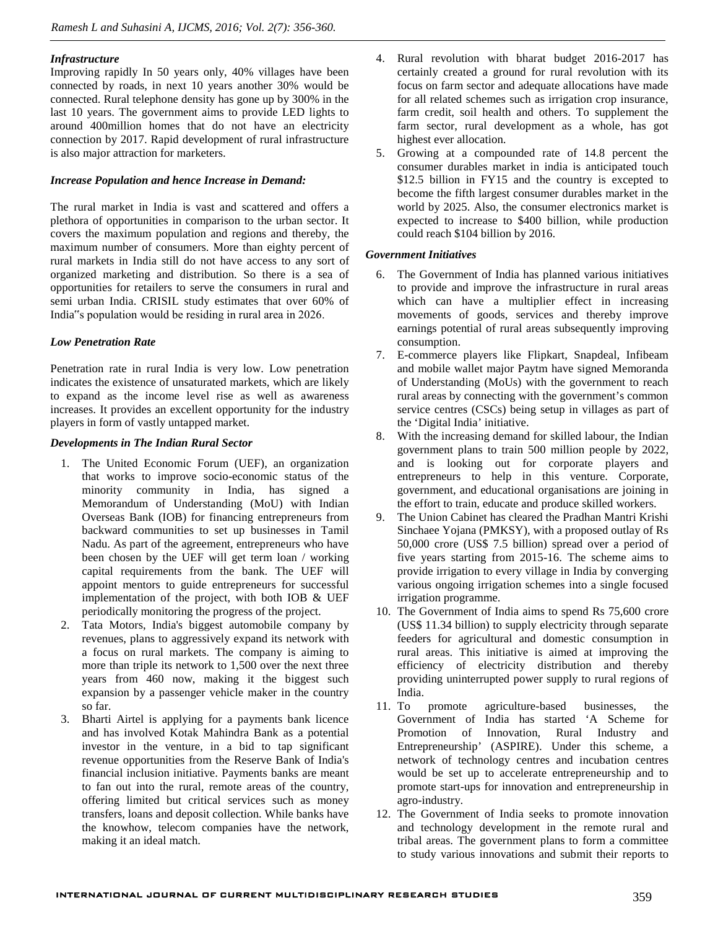#### *Infrastructure*

Improving rapidly In 50 years only, 40% villages have been connected by roads, in next 10 years another 30% would be connected. Rural telephone density has gone up by 300% in the last 10 years. The government aims to provide LED lights to around 400million homes that do not have an electricity connection by 2017. Rapid development of rural infrastructure is also major attraction for marketers.

#### *Increase Population and hence Increase in Demand:*

The rural market in India is vast and scattered and offers a plethora of opportunities in comparison to the urban sector. It covers the maximum population and regions and thereby, the maximum number of consumers. More than eighty percent of rural markets in India still do not have access to any sort of organized marketing and distribution. So there is a sea of opportunities for retailers to serve the consumers in rural and semi urban India. CRISIL study estimates that over 60% of India"s population would be residing in rural area in 2026.

### *Low Penetration Rate*

Penetration rate in rural India is very low. Low penetration indicates the existence of unsaturated markets, which are likely to expand as the income level rise as well as awareness increases. It provides an excellent opportunity for the industry players in form of vastly untapped market.

#### *Developments in The Indian Rural Sector*

- 1. The United Economic Forum (UEF), an organization that works to improve socio-economic status of the minority community in India, has signed a Memorandum of Understanding (MoU) with Indian Overseas Bank (IOB) for financing entrepreneurs from backward communities to set up businesses in Tamil Nadu. As part of the agreement, entrepreneurs who have been chosen by the UEF will get term loan / working capital requirements from the bank. The UEF will appoint mentors to guide entrepreneurs for successful implementation of the project, with both IOB & UEF periodically monitoring the progress of the project.
- 2. Tata Motors, India's biggest automobile company by revenues, plans to aggressively expand its network with a focus on rural markets. The company is aiming to more than triple its network to 1,500 over the next three years from 460 now, making it the biggest such expansion by a passenger vehicle maker in the country so far.
- 3. Bharti Airtel is applying for a payments bank licence and has involved Kotak Mahindra Bank as a potential investor in the venture, in a bid to tap significant revenue opportunities from the Reserve Bank of India's financial inclusion initiative. Payments banks are meant to fan out into the rural, remote areas of the country, offering limited but critical services such as money transfers, loans and deposit collection. While banks have the knowhow, telecom companies have the network, making it an ideal match.
- 4. Rural revolution with bharat budget 2016-2017 has certainly created a ground for rural revolution with its focus on farm sector and adequate allocations have made for all related schemes such as irrigation crop insurance, farm credit, soil health and others. To supplement the farm sector, rural development as a whole, has got highest ever allocation.
- 5. Growing at a compounded rate of 14.8 percent the consumer durables market in india is anticipated touch \$12.5 billion in FY15 and the country is excepted to become the fifth largest consumer durables market in the world by 2025. Also, the consumer electronics market is expected to increase to \$400 billion, while production could reach \$104 billion by 2016.

#### *Government Initiatives*

- 6. The Government of India has planned various initiatives to provide and improve the infrastructure in rural areas which can have a multiplier effect in increasing movements of goods, services and thereby improve earnings potential of rural areas subsequently improving consumption.
- 7. E-commerce players like Flipkart, Snapdeal, Infibeam and mobile wallet major Paytm have signed Memoranda of Understanding (MoUs) with the government to reach rural areas by connecting with the government's common service centres (CSCs) being setup in villages as part of the 'Digital India' initiative.
- 8. With the increasing demand for skilled labour, the Indian government plans to train 500 million people by 2022, and is looking out for corporate players and entrepreneurs to help in this venture. Corporate, government, and educational organisations are joining in the effort to train, educate and produce skilled workers.
- The Union Cabinet has cleared the Pradhan Mantri Krishi Sinchaee Yojana (PMKSY), with a proposed outlay of Rs 50,000 crore (US\$ 7.5 billion) spread over a period of five years starting from 2015-16. The scheme aims to provide irrigation to every village in India by converging various ongoing irrigation schemes into a single focused irrigation programme.
- 10. The Government of India aims to spend Rs 75,600 crore (US\$ 11.34 billion) to supply electricity through separate feeders for agricultural and domestic consumption in rural areas. This initiative is aimed at improving the efficiency of electricity distribution and thereby providing uninterrupted power supply to rural regions of India.
- 11. To promote agriculture-based businesses, the Government of India has started 'A Scheme for Promotion of Innovation, Rural Industry and Entrepreneurship' (ASPIRE). Under this scheme, a network of technology centres and incubation centres would be set up to accelerate entrepreneurship and to promote start-ups for innovation and entrepreneurship in agro-industry.
- 12. The Government of India seeks to promote innovation and technology development in the remote rural and tribal areas. The government plans to form a committee to study various innovations and submit their reports to